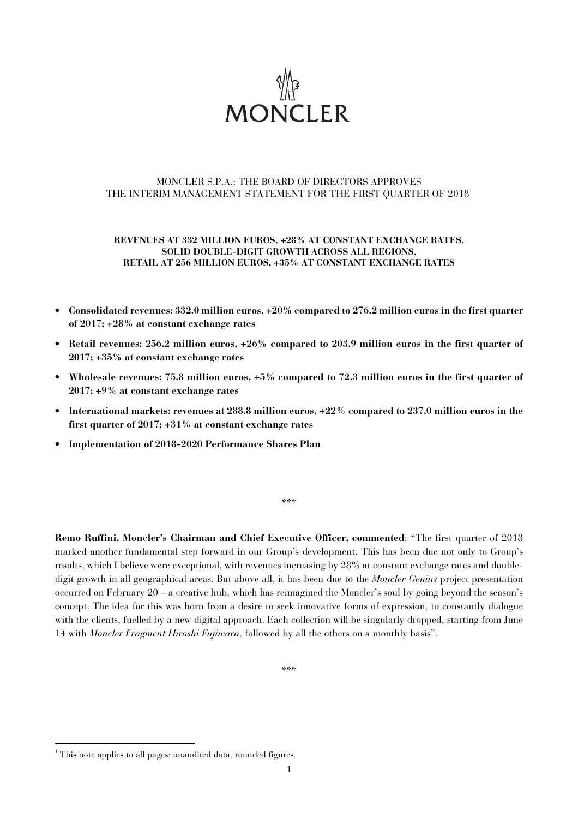

# MONCLER S.P.A.: THE BOARD OF DIRECTORS APPROVES THE INTERIM MANAGEMENT STATEMENT FOR THE FIRST OUARTER OF 2018<sup>1</sup>

## **REVENUES AT 332 MILLION EUROS, +28% AT CONSTANT EXCHANGE RATES, SOLID DOUBLE-DIGIT GROWTH ACROSS ALL REGIONS, RETAIL AT 256 MILLION EUROS, +35% AT CONSTANT EXCHANGE RATES**

- **Consolidated revenues: 332.0 million euros, +20% compared to 276.2 million euros in the first quarter of 2017; +28% at constant exchange rates**
- **Retail revenues: 256.2 million euros, +26% compared to 203.9 million euros in the first quarter of 2017; +35% at constant exchange rates**
- **Wholesale revenues: 75.8 million euros, +5% compared to 72.3 million euros in the first quarter of 2017; +9% at constant exchange rates**
- **International markets: revenues at 288.8 million euros, +22% compared to 237.0 million euros in the first quarter of 2017; +31% at constant exchange rates**
- **Implementation of 2018-2020 Performance Shares Plan**

\*\*\*

**Remo Ruffini, Moncler's Chairman and Chief Executive Officer, commented**: "The first quarter of 2018 marked another fundamental step forward in our Group's development. This has been due not only to Group's results, which I believe were exceptional, with revenues increasing by 28% at constant exchange rates and doubledigit growth in all geographical areas. But above all, it has been due to the *Moncler Genius* project presentation occurred on February 20 – a creative hub, which has reimagined the Moncler's soul by going beyond the season's concept. The idea for this was born from a desire to seek innovative forms of expression, to constantly dialogue with the clients, fuelled by a new digital approach. Each collection will be singularly dropped, starting from June 14 with *Moncler Fragment Hiroshi Fujiwara*, followed by all the others on a monthly basis".

\*\*\*

l

<sup>&</sup>lt;sup>1</sup> This note applies to all pages: unaudited data, rounded figures.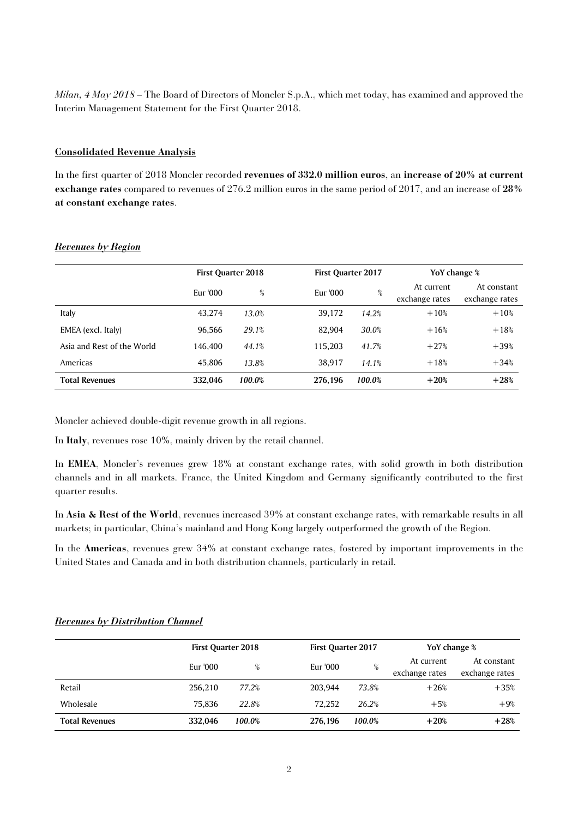*Milan, 4 May 2018* – The Board of Directors of Moncler S.p.A., which met today, has examined and approved the Interim Management Statement for the First Quarter 2018.

## **Consolidated Revenue Analysis**

In the first quarter of 2018 Moncler recorded **revenues of 332.0 million euros**, an **increase of 20% at current exchange rates** compared to revenues of 276.2 million euros in the same period of 2017, and an increase of **28% at constant exchange rates**.

|                            | <b>First Quarter 2018</b> |        |          | <b>First Quarter 2017</b> |                              | YoY change %                  |  |
|----------------------------|---------------------------|--------|----------|---------------------------|------------------------------|-------------------------------|--|
|                            | Eur '000                  | %      | Eur '000 | %                         | At current<br>exchange rates | At constant<br>exchange rates |  |
| Italy                      | 43,274                    | 13.0%  | 39,172   | 14.2%                     | $+10%$                       | $+10%$                        |  |
| EMEA (excl. Italy)         | 96.566                    | 29.1%  | 82.904   | 30.0%                     | $+16%$                       | $+18%$                        |  |
| Asia and Rest of the World | 146.400                   | 44.1%  | 115,203  | 41.7%                     | $+27%$                       | $+39%$                        |  |
| Americas                   | 45,806                    | 13.8%  | 38,917   | 14.1%                     | $+18%$                       | $+34%$                        |  |
| <b>Total Revenues</b>      | 332.046                   | 100.0% | 276.196  | 100.0%                    | $+20%$                       | $+28%$                        |  |

## *Revenues by Region*

Moncler achieved double-digit revenue growth in all regions.

In **Italy**, revenues rose 10%, mainly driven by the retail channel.

In **EMEA**, Moncler's revenues grew 18% at constant exchange rates, with solid growth in both distribution channels and in all markets. France, the United Kingdom and Germany significantly contributed to the first quarter results.

In **Asia & Rest of the World**, revenues increased 39% at constant exchange rates, with remarkable results in all markets; in particular, China's mainland and Hong Kong largely outperformed the growth of the Region.

In the **Americas**, revenues grew 34% at constant exchange rates, fostered by important improvements in the United States and Canada and in both distribution channels, particularly in retail.

|                       |          | <b>First Quarter 2018</b> |          | <b>First Quarter 2017</b> | YoY change %                 |                               |
|-----------------------|----------|---------------------------|----------|---------------------------|------------------------------|-------------------------------|
|                       | Eur '000 | %                         | Eur '000 | %                         | At current<br>exchange rates | At constant<br>exchange rates |
| Retail                | 256.210  | 77.2%                     | 203.944  | 73.8%                     | $+26%$                       | $+35%$                        |
| Wholesale             | 75.836   | 22.8%                     | 72.252   | 26.2%                     | $+5%$                        | $+9%$                         |
| <b>Total Revenues</b> | 332.046  | 100.0%                    | 276.196  | 100.0%                    | $+20%$                       | $+28%$                        |

#### *Revenues by Distribution Channel*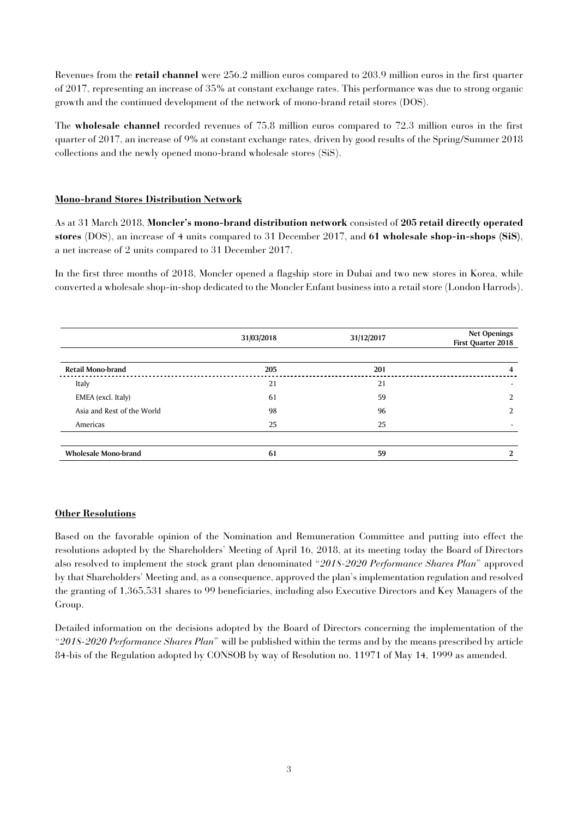Revenues from the **retail channel** were 256.2 million euros compared to 203.9 million euros in the first quarter of 2017, representing an increase of 35% at constant exchange rates. This performance was due to strong organic growth and the continued development of the network of mono-brand retail stores (DOS).

The **wholesale channel** recorded revenues of 75.8 million euros compared to 72.3 million euros in the first quarter of 2017, an increase of 9% at constant exchange rates, driven by good results of the Spring/Summer 2018 collections and the newly opened mono-brand wholesale stores (SiS).

# **Mono-brand Stores Distribution Network**

As at 31 March 2018, **Moncler's mono-brand distribution network** consisted of **205 retail directly operated stores** (DOS), an increase of 4 units compared to 31 December 2017, and **61 wholesale shop-in-shops (SiS)**, a net increase of 2 units compared to 31 December 2017.

In the first three months of 2018, Moncler opened a flagship store in Dubai and two new stores in Korea, while converted a wholesale shop-in-shop dedicated to the Moncler Enfant business into a retail store (London Harrods).

|                             | 31/03/2018 | 31/12/2017 | <b>Net Openings</b><br>First Quarter 2018 |
|-----------------------------|------------|------------|-------------------------------------------|
|                             |            |            |                                           |
| Retail Mono-brand           | 205        | 201        | 4                                         |
| Italy                       | 21         | 21         | $\overline{\phantom{a}}$                  |
| EMEA (excl. Italy)          | 61         | 59         | C                                         |
| Asia and Rest of the World  | 98         | 96         | C                                         |
| Americas                    | 25         | 25         |                                           |
|                             |            |            |                                           |
| <b>Wholesale Mono-brand</b> | 61         | 59         | 2                                         |

# **Other Resolutions**

Based on the favorable opinion of the Nomination and Remuneration Committee and putting into effect the resolutions adopted by the Shareholders' Meeting of April 16, 2018, at its meeting today the Board of Directors also resolved to implement the stock grant plan denominated "*2018-2020 Performance Shares Plan*" approved by that Shareholders' Meeting and, as a consequence, approved the plan's implementation regulation and resolved the granting of 1,365,531 shares to 99 beneficiaries, including also Executive Directors and Key Managers of the Group.

Detailed information on the decisions adopted by the Board of Directors concerning the implementation of the "*2018-2020 Performance Shares Plan*" will be published within the terms and by the means prescribed by article 84-bis of the Regulation adopted by CONSOB by way of Resolution no. 11971 of May 14, 1999 as amended.